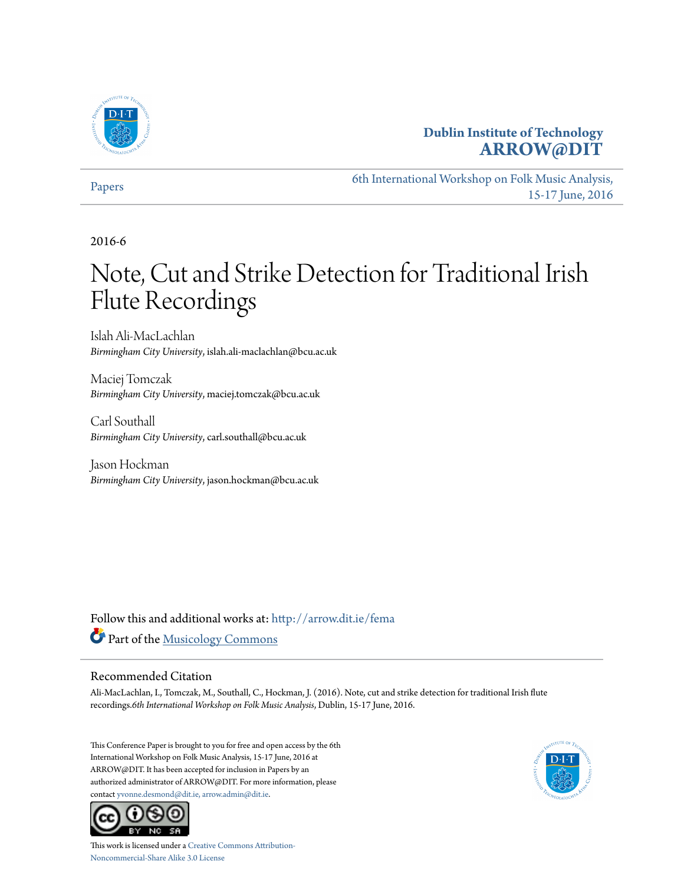

# **Dublin Institute of Technology [ARROW@DIT](http://arrow.dit.ie?utm_source=arrow.dit.ie%2Ffema%2F12&utm_medium=PDF&utm_campaign=PDFCoverPages)**

[Papers](http://arrow.dit.ie/fema?utm_source=arrow.dit.ie%2Ffema%2F12&utm_medium=PDF&utm_campaign=PDFCoverPages)

[6th International Workshop on Folk Music Analysis,](http://arrow.dit.ie/FMA?utm_source=arrow.dit.ie%2Ffema%2F12&utm_medium=PDF&utm_campaign=PDFCoverPages) [15-17 June, 2016](http://arrow.dit.ie/FMA?utm_source=arrow.dit.ie%2Ffema%2F12&utm_medium=PDF&utm_campaign=PDFCoverPages)

2016-6

# Note, Cut and Strike Detection for Traditional Irish Flute Recordings

Islah Ali-MacLachlan *Birmingham City University*, islah.ali-maclachlan@bcu.ac.uk

Maciej Tomczak *Birmingham City University*, maciej.tomczak@bcu.ac.uk

Carl Southall *Birmingham City University*, carl.southall@bcu.ac.uk

Jason Hockman *Birmingham City University*, jason.hockman@bcu.ac.uk

Follow this and additional works at: [http://arrow.dit.ie/fema](http://arrow.dit.ie/fema?utm_source=arrow.dit.ie%2Ffema%2F12&utm_medium=PDF&utm_campaign=PDFCoverPages) Part of the [Musicology Commons](http://network.bepress.com/hgg/discipline/521?utm_source=arrow.dit.ie%2Ffema%2F12&utm_medium=PDF&utm_campaign=PDFCoverPages)

# Recommended Citation

Ali-MacLachlan, I., Tomczak, M., Southall, C., Hockman, J. (2016). Note, cut and strike detection for traditional Irish flute recordings.*6th International Workshop on Folk Music Analysis*, Dublin, 15-17 June, 2016.

This Conference Paper is brought to you for free and open access by the 6th International Workshop on Folk Music Analysis, 15-17 June, 2016 at ARROW@DIT. It has been accepted for inclusion in Papers by an authorized administrator of ARROW@DIT. For more information, please contact [yvonne.desmond@dit.ie, arrow.admin@dit.ie](mailto:yvonne.desmond@dit.ie,%20arrow.admin@dit.ie).



This work is licensed under a [Creative Commons Attribution-](http://creativecommons.org/licenses/by-nc-sa/3.0/)[Noncommercial-Share Alike 3.0 License](http://creativecommons.org/licenses/by-nc-sa/3.0/)

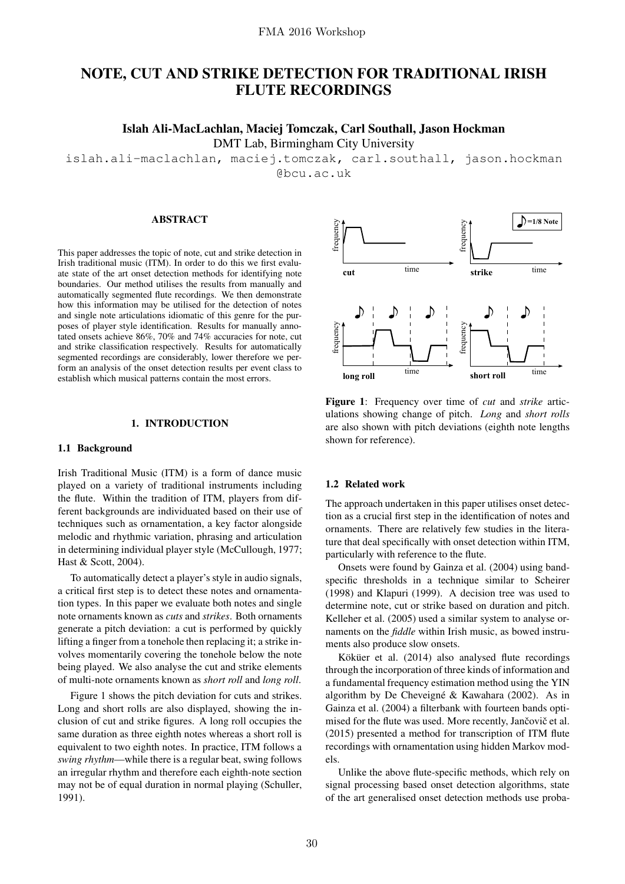# NOTE, CUT AND STRIKE DETECTION FOR TRADITIONAL IRISH FLUTE RECORDINGS

# Islah Ali-MacLachlan, Maciej Tomczak, Carl Southall, Jason Hockman

DMT Lab, Birmingham City University

islah.ali-maclachlan, maciej.tomczak, carl.southall, jason.hockman

@bcu.ac.uk

# ABSTRACT

This paper addresses the topic of note, cut and strike detection in Irish traditional music (ITM). In order to do this we first evaluate state of the art onset detection methods for identifying note boundaries. Our method utilises the results from manually and automatically segmented flute recordings. We then demonstrate how this information may be utilised for the detection of notes and single note articulations idiomatic of this genre for the purposes of player style identification. Results for manually annotated onsets achieve 86%, 70% and 74% accuracies for note, cut and strike classification respectively. Results for automatically segmented recordings are considerably, lower therefore we perform an analysis of the onset detection results per event class to establish which musical patterns contain the most errors.

# 1. INTRODUCTION

# 1.1 Background

Irish Traditional Music (ITM) is a form of dance music played on a variety of traditional instruments including the flute. Within the tradition of ITM, players from different backgrounds are individuated based on their use of techniques such as ornamentation, a key factor alongside melodic and rhythmic variation, phrasing and articulation in determining individual player style (McCullough, 1977; Hast & Scott, 2004).

To automatically detect a player's style in audio signals, a critical first step is to detect these notes and ornamentation types. In this paper we evaluate both notes and single note ornaments known as *cuts* and *strikes*. Both ornaments generate a pitch deviation: a cut is performed by quickly lifting a finger from a tonehole then replacing it; a strike involves momentarily covering the tonehole below the note being played. We also analyse the cut and strike elements of multi-note ornaments known as *short roll* and *long roll*.

Figure 1 shows the pitch deviation for cuts and strikes. Long and short rolls are also displayed, showing the inclusion of cut and strike figures. A long roll occupies the same duration as three eighth notes whereas a short roll is equivalent to two eighth notes. In practice, ITM follows a *swing rhythm*—while there is a regular beat, swing follows an irregular rhythm and therefore each eighth-note section may not be of equal duration in normal playing (Schuller, 1991).



Figure 1: Frequency over time of *cut* and *strike* articulations showing change of pitch. *Long* and *short rolls* are also shown with pitch deviations (eighth note lengths shown for reference).

# 1.2 Related work

The approach undertaken in this paper utilises onset detection as a crucial first step in the identification of notes and ornaments. There are relatively few studies in the literature that deal specifically with onset detection within ITM, particularly with reference to the flute.

Onsets were found by Gainza et al. (2004) using bandspecific thresholds in a technique similar to Scheirer (1998) and Klapuri (1999). A decision tree was used to determine note, cut or strike based on duration and pitch. Kelleher et al. (2005) used a similar system to analyse ornaments on the *fiddle* within Irish music, as bowed instruments also produce slow onsets.

Köküer et al. (2014) also analysed flute recordings through the incorporation of three kinds of information and a fundamental frequency estimation method using the YIN algorithm by De Cheveigné  $\&$  Kawahara (2002). As in Gainza et al. (2004) a filterbank with fourteen bands optimised for the flute was used. More recently, Jančovič et al. (2015) presented a method for transcription of ITM flute recordings with ornamentation using hidden Markov models.

Unlike the above flute-specific methods, which rely on signal processing based onset detection algorithms, state of the art generalised onset detection methods use proba-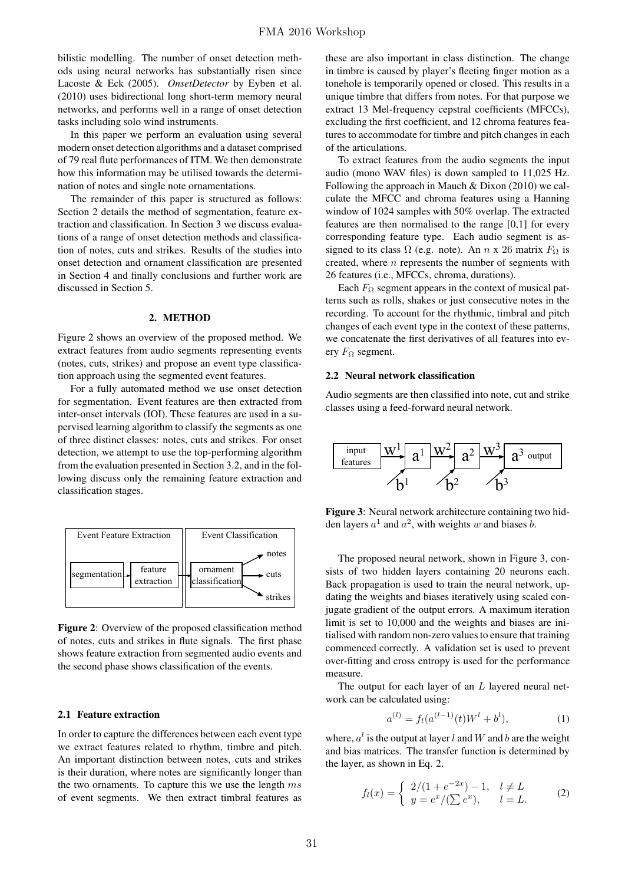bilistic modelling. The number of onset detection methods using neural networks has substantially risen since Lacoste & Eck (2005). *OnsetDetector* by Eyben et al. (2010) uses bidirectional long short-term memory neural networks, and performs well in a range of onset detection tasks including solo wind instruments.

In this paper we perform an evaluation using several modern onset detection algorithms and a dataset comprised of 79 real flute performances of ITM. We then demonstrate how this information may be utilised towards the determination of notes and single note ornamentations.

The remainder of this paper is structured as follows: Section 2 details the method of segmentation, feature extraction and classification. In Section 3 we discuss evaluations of a range of onset detection methods and classification of notes, cuts and strikes. Results of the studies into onset detection and ornament classification are presented in Section 4 and finally conclusions and further work are discussed in Section 5.

# 2. METHOD

Figure 2 shows an overview of the proposed method. We extract features from audio segments representing events (notes, cuts, strikes) and propose an event type classification approach using the segmented event features.

For a fully automated method we use onset detection for segmentation. Event features are then extracted from inter-onset intervals (IOI). These features are used in a supervised learning algorithm to classify the segments as one of three distinct classes: notes, cuts and strikes. For onset detection, we attempt to use the top-performing algorithm from the evaluation presented in Section 3.2, and in the following discuss only the remaining feature extraction and classification stages.



Figure 2: Overview of the proposed classification method of notes, cuts and strikes in flute signals. The first phase shows feature extraction from segmented audio events and the second phase shows classification of the events.

#### 2.1 Feature extraction

In order to capture the differences between each event type we extract features related to rhythm, timbre and pitch. An important distinction between notes, cuts and strikes is their duration, where notes are significantly longer than the two ornaments. To capture this we use the length  $ms$ of event segments. We then extract timbral features as these are also important in class distinction. The change in timbre is caused by player's fleeting finger motion as a tonehole is temporarily opened or closed. This results in a unique timbre that differs from notes. For that purpose we extract 13 Mel-frequency cepstral coefficients (MFCCs), excluding the first coefficient, and 12 chroma features features to accommodate for timbre and pitch changes in each of the articulations.

To extract features from the audio segments the input audio (mono WAV files) is down sampled to 11,025 Hz. Following the approach in Mauch & Dixon (2010) we calculate the MFCC and chroma features using a Hanning window of 1024 samples with 50% overlap. The extracted features are then normalised to the range [0,1] for every corresponding feature type. Each audio segment is assigned to its class  $\Omega$  (e.g. note). An n x 26 matrix  $F_{\Omega}$  is created, where  $n$  represents the number of segments with 26 features (i.e., MFCCs, chroma, durations).

Each  $F_{\Omega}$  segment appears in the context of musical patterns such as rolls, shakes or just consecutive notes in the recording. To account for the rhythmic, timbral and pitch changes of each event type in the context of these patterns, we concatenate the first derivatives of all features into every  $F_{\Omega}$  segment.

#### 2.2 Neural network classification

Audio segments are then classified into note, cut and strike classes using a feed-forward neural network.



Figure 3: Neural network architecture containing two hidden layers  $a^1$  and  $a^2$ , with weights w and biases b.

The proposed neural network, shown in Figure 3, consists of two hidden layers containing 20 neurons each. Back propagation is used to train the neural network, updating the weights and biases iteratively using scaled conjugate gradient of the output errors. A maximum iteration limit is set to 10,000 and the weights and biases are initialised with random non-zero values to ensure that training commenced correctly. A validation set is used to prevent over-fitting and cross entropy is used for the performance measure.

The output for each layer of an  $L$  layered neural network can be calculated using:

$$
a^{(l)} = f_l(a^{(l-1)}(t)W^l + b^l), \tag{1}
$$

where,  $a^l$  is the output at layer l and W and b are the weight and bias matrices. The transfer function is determined by the layer, as shown in Eq. 2.

$$
f_l(x) = \begin{cases} 2/(1 + e^{-2x}) - 1, & l \neq L \\ y = e^x / (\sum e^x), & l = L. \end{cases}
$$
 (2)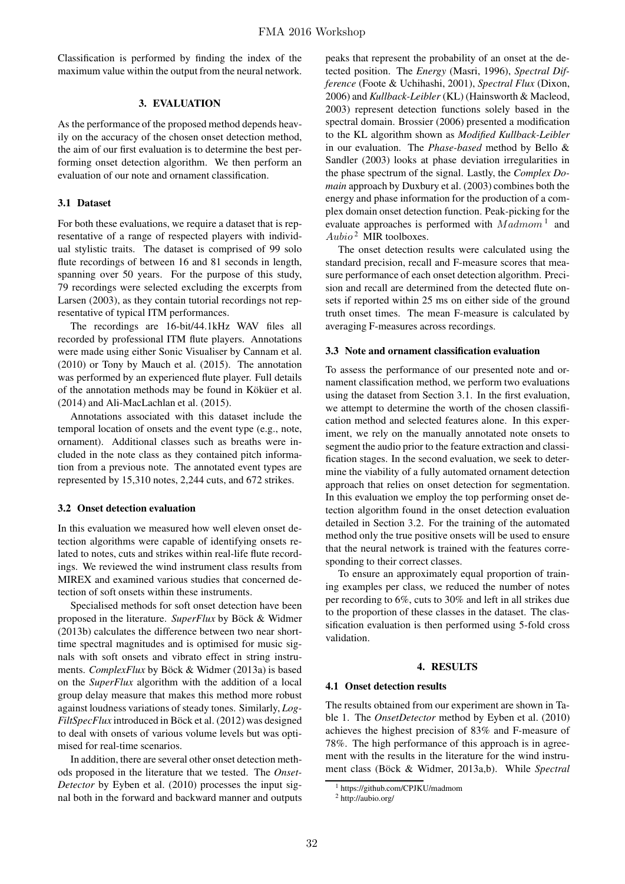Classification is performed by finding the index of the maximum value within the output from the neural network.

## 3. EVALUATION

As the performance of the proposed method depends heavily on the accuracy of the chosen onset detection method, the aim of our first evaluation is to determine the best performing onset detection algorithm. We then perform an evaluation of our note and ornament classification.

# 3.1 Dataset

For both these evaluations, we require a dataset that is representative of a range of respected players with individual stylistic traits. The dataset is comprised of 99 solo flute recordings of between 16 and 81 seconds in length, spanning over 50 years. For the purpose of this study, 79 recordings were selected excluding the excerpts from Larsen (2003), as they contain tutorial recordings not representative of typical ITM performances.

The recordings are 16-bit/44.1kHz WAV files all recorded by professional ITM flute players. Annotations were made using either Sonic Visualiser by Cannam et al. (2010) or Tony by Mauch et al. (2015). The annotation was performed by an experienced flute player. Full details of the annotation methods may be found in Köküer et al. (2014) and Ali-MacLachlan et al. (2015).

Annotations associated with this dataset include the temporal location of onsets and the event type (e.g., note, ornament). Additional classes such as breaths were included in the note class as they contained pitch information from a previous note. The annotated event types are represented by 15,310 notes, 2,244 cuts, and 672 strikes.

## 3.2 Onset detection evaluation

In this evaluation we measured how well eleven onset detection algorithms were capable of identifying onsets related to notes, cuts and strikes within real-life flute recordings. We reviewed the wind instrument class results from MIREX and examined various studies that concerned detection of soft onsets within these instruments.

Specialised methods for soft onset detection have been proposed in the literature. *SuperFlux* by Böck & Widmer (2013b) calculates the difference between two near shorttime spectral magnitudes and is optimised for music signals with soft onsets and vibrato effect in string instruments. *ComplexFlux* by Böck & Widmer (2013a) is based on the *SuperFlux* algorithm with the addition of a local group delay measure that makes this method more robust against loudness variations of steady tones. Similarly, *Log-FiltSpecFlux* introduced in Böck et al. (2012) was designed to deal with onsets of various volume levels but was optimised for real-time scenarios.

In addition, there are several other onset detection methods proposed in the literature that we tested. The *Onset-Detector* by Eyben et al. (2010) processes the input signal both in the forward and backward manner and outputs peaks that represent the probability of an onset at the detected position. The *Energy* (Masri, 1996), *Spectral Difference* (Foote & Uchihashi, 2001), *Spectral Flux* (Dixon, 2006) and *Kullback-Leibler* (KL) (Hainsworth & Macleod, 2003) represent detection functions solely based in the spectral domain. Brossier (2006) presented a modification to the KL algorithm shown as *Modified Kullback-Leibler* in our evaluation. The *Phase-based* method by Bello & Sandler (2003) looks at phase deviation irregularities in the phase spectrum of the signal. Lastly, the *Complex Domain* approach by Duxbury et al. (2003) combines both the energy and phase information for the production of a complex domain onset detection function. Peak-picking for the evaluate approaches is performed with  $Madamom<sup>1</sup>$  and  $Aubio<sup>2</sup>$  MIR toolboxes.

The onset detection results were calculated using the standard precision, recall and F-measure scores that measure performance of each onset detection algorithm. Precision and recall are determined from the detected flute onsets if reported within 25 ms on either side of the ground truth onset times. The mean F-measure is calculated by averaging F-measures across recordings.

# 3.3 Note and ornament classification evaluation

To assess the performance of our presented note and ornament classification method, we perform two evaluations using the dataset from Section 3.1. In the first evaluation, we attempt to determine the worth of the chosen classification method and selected features alone. In this experiment, we rely on the manually annotated note onsets to segment the audio prior to the feature extraction and classification stages. In the second evaluation, we seek to determine the viability of a fully automated ornament detection approach that relies on onset detection for segmentation. In this evaluation we employ the top performing onset detection algorithm found in the onset detection evaluation detailed in Section 3.2. For the training of the automated method only the true positive onsets will be used to ensure that the neural network is trained with the features corresponding to their correct classes.

To ensure an approximately equal proportion of training examples per class, we reduced the number of notes per recording to 6%, cuts to 30% and left in all strikes due to the proportion of these classes in the dataset. The classification evaluation is then performed using 5-fold cross validation.

#### 4. RESULTS

#### 4.1 Onset detection results

The results obtained from our experiment are shown in Table 1. The *OnsetDetector* method by Eyben et al. (2010) achieves the highest precision of 83% and F-measure of 78%. The high performance of this approach is in agreement with the results in the literature for the wind instrument class (Böck & Widmer, 2013a,b). While *Spectral* 

<sup>1</sup> https://github.com/CPJKU/madmom

<sup>2</sup> http://aubio.org/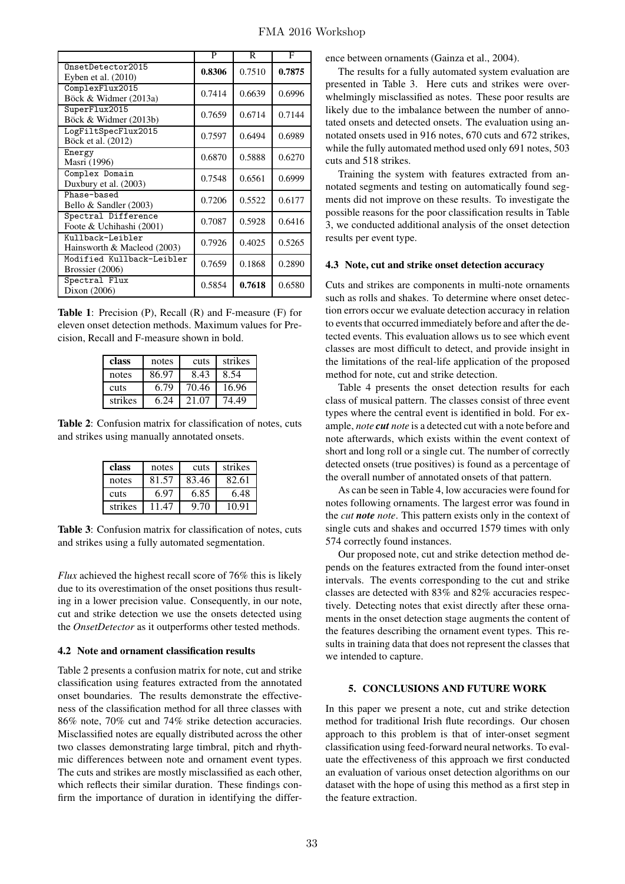|                                                 | P      | R      | F      |
|-------------------------------------------------|--------|--------|--------|
| OnsetDetector2015<br>Eyben et al. $(2010)$      | 0.8306 | 0.7510 | 0.7875 |
| ComplexFlux2015<br>Böck & Widmer (2013a)        | 0.7414 | 0.6639 | 0.6996 |
| SuperFlux2015<br>Böck & Widmer (2013b)          | 0.7659 | 0.6714 | 0.7144 |
| LogFiltSpecFlux2015<br>Böck et al. (2012)       | 0.7597 | 0.6494 | 0.6989 |
| Energy<br>Masri (1996)                          | 0.6870 | 0.5888 | 0.6270 |
| Complex Domain<br>Duxbury et al. (2003)         | 0.7548 | 0.6561 | 0.6999 |
| Phase-based<br>Bello & Sandler (2003)           | 0.7206 | 0.5522 | 0.6177 |
| Spectral Difference<br>Foote & Uchihashi (2001) | 0.7087 | 0.5928 | 0.6416 |
| Kullback-Leibler<br>Hainsworth & Macleod (2003) | 0.7926 | 0.4025 | 0.5265 |
| Modified Kullback-Leibler<br>Brossier (2006)    | 0.7659 | 0.1868 | 0.2890 |
| Spectral Flux<br>Dixon (2006)                   | 0.5854 | 0.7618 | 0.6580 |

Table 1: Precision (P), Recall (R) and F-measure (F) for eleven onset detection methods. Maximum values for Precision, Recall and F-measure shown in bold.

| class   | notes | cuts  | strikes |
|---------|-------|-------|---------|
| notes   | 86.97 | 8.43  | 8.54    |
| cuts    | 6.79  | 70.46 | 16.96   |
| strikes | 6.24  | 21.07 | 74.49   |

Table 2: Confusion matrix for classification of notes, cuts and strikes using manually annotated onsets.

| class   | notes | cuts  | strikes |
|---------|-------|-------|---------|
| notes   | 81.57 | 83.46 | 82.61   |
| cuts    | 6.97  | 6.85  | 6.48    |
| strikes | 11 47 | 9.70  | 10.91   |

Table 3: Confusion matrix for classification of notes, cuts and strikes using a fully automated segmentation.

*Flux* achieved the highest recall score of 76% this is likely due to its overestimation of the onset positions thus resulting in a lower precision value. Consequently, in our note, cut and strike detection we use the onsets detected using the *OnsetDetector* as it outperforms other tested methods.

## 4.2 Note and ornament classification results

Table 2 presents a confusion matrix for note, cut and strike classification using features extracted from the annotated onset boundaries. The results demonstrate the effectiveness of the classification method for all three classes with 86% note, 70% cut and 74% strike detection accuracies. Misclassified notes are equally distributed across the other two classes demonstrating large timbral, pitch and rhythmic differences between note and ornament event types. The cuts and strikes are mostly misclassified as each other, which reflects their similar duration. These findings confirm the importance of duration in identifying the difference between ornaments (Gainza et al., 2004).

The results for a fully automated system evaluation are presented in Table 3. Here cuts and strikes were overwhelmingly misclassified as notes. These poor results are likely due to the imbalance between the number of annotated onsets and detected onsets. The evaluation using annotated onsets used in 916 notes, 670 cuts and 672 strikes, while the fully automated method used only 691 notes, 503 cuts and 518 strikes.

Training the system with features extracted from annotated segments and testing on automatically found segments did not improve on these results. To investigate the possible reasons for the poor classification results in Table 3, we conducted additional analysis of the onset detection results per event type.

#### 4.3 Note, cut and strike onset detection accuracy

Cuts and strikes are components in multi-note ornaments such as rolls and shakes. To determine where onset detection errors occur we evaluate detection accuracy in relation to events that occurred immediately before and after the detected events. This evaluation allows us to see which event classes are most difficult to detect, and provide insight in the limitations of the real-life application of the proposed method for note, cut and strike detection.

Table 4 presents the onset detection results for each class of musical pattern. The classes consist of three event types where the central event is identified in bold. For example, *note cut note* is a detected cut with a note before and note afterwards, which exists within the event context of short and long roll or a single cut. The number of correctly detected onsets (true positives) is found as a percentage of the overall number of annotated onsets of that pattern.

As can be seen in Table 4, low accuracies were found for notes following ornaments. The largest error was found in the *cut note note*. This pattern exists only in the context of single cuts and shakes and occurred 1579 times with only 574 correctly found instances.

Our proposed note, cut and strike detection method depends on the features extracted from the found inter-onset intervals. The events corresponding to the cut and strike classes are detected with 83% and 82% accuracies respectively. Detecting notes that exist directly after these ornaments in the onset detection stage augments the content of the features describing the ornament event types. This results in training data that does not represent the classes that we intended to capture.

# 5. CONCLUSIONS AND FUTURE WORK

In this paper we present a note, cut and strike detection method for traditional Irish flute recordings. Our chosen approach to this problem is that of inter-onset segment classification using feed-forward neural networks. To evaluate the effectiveness of this approach we first conducted an evaluation of various onset detection algorithms on our dataset with the hope of using this method as a first step in the feature extraction.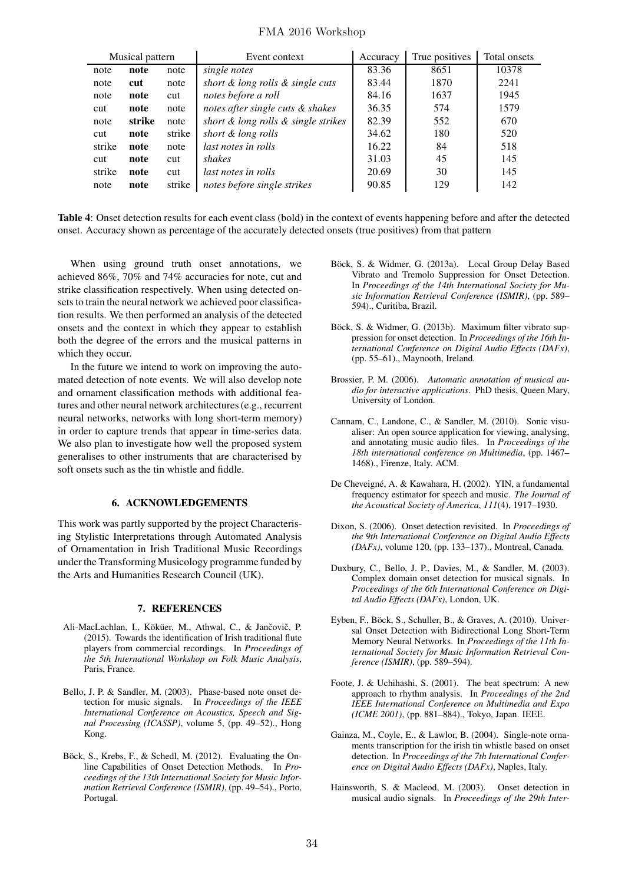# FMA 2016 Workshop

| Musical pattern |        |        | Event context                       | Accuracy | True positives | Total onsets |
|-----------------|--------|--------|-------------------------------------|----------|----------------|--------------|
| note            | note   | note   | single notes                        | 83.36    | 8651           | 10378        |
| note            | cut    | note   | short & long rolls & single cuts    | 83.44    | 1870           | 2241         |
| note            | note   | cut    | notes before a roll                 | 84.16    | 1637           | 1945         |
| cut             | note   | note   | notes after single cuts & shakes    | 36.35    | 574            | 1579         |
| note            | strike | note   | short & long rolls & single strikes | 82.39    | 552            | 670          |
| cut             | note   | strike | short & long rolls                  | 34.62    | 180            | 520          |
| strike          | note   | note   | last notes in rolls                 | 16.22    | 84             | 518          |
| cut             | note   | cut    | shakes                              | 31.03    | 45             | 145          |
| strike          | note   | cut    | <i>last notes in rolls</i>          | 20.69    | 30             | 145          |
| note            | note   | strike | notes before single strikes         | 90.85    | 129            | 142          |

Table 4: Onset detection results for each event class (bold) in the context of events happening before and after the detected onset. Accuracy shown as percentage of the accurately detected onsets (true positives) from that pattern

When using ground truth onset annotations, we achieved 86%, 70% and 74% accuracies for note, cut and strike classification respectively. When using detected onsets to train the neural network we achieved poor classification results. We then performed an analysis of the detected onsets and the context in which they appear to establish both the degree of the errors and the musical patterns in which they occur.

In the future we intend to work on improving the automated detection of note events. We will also develop note and ornament classification methods with additional features and other neural network architectures (e.g., recurrent neural networks, networks with long short-term memory) in order to capture trends that appear in time-series data. We also plan to investigate how well the proposed system generalises to other instruments that are characterised by soft onsets such as the tin whistle and fiddle.

## 6. ACKNOWLEDGEMENTS

This work was partly supported by the project Characterising Stylistic Interpretations through Automated Analysis of Ornamentation in Irish Traditional Music Recordings under the Transforming Musicology programme funded by the Arts and Humanities Research Council (UK).

#### 7. REFERENCES

- Ali-MacLachlan, I., Köküer, M., Athwal, C., & Jančovič, P. (2015). Towards the identification of Irish traditional flute players from commercial recordings. In *Proceedings of the 5th International Workshop on Folk Music Analysis*, Paris, France.
- Bello, J. P. & Sandler, M. (2003). Phase-based note onset detection for music signals. In *Proceedings of the IEEE International Conference on Acoustics, Speech and Signal Processing (ICASSP)*, volume 5, (pp. 49–52)., Hong Kong.
- Böck, S., Krebs, F., & Schedl, M. (2012). Evaluating the Online Capabilities of Onset Detection Methods. In *Proceedings of the 13th International Society for Music Information Retrieval Conference (ISMIR)*, (pp. 49–54)., Porto, Portugal.
- Böck, S. & Widmer, G. (2013a). Local Group Delay Based Vibrato and Tremolo Suppression for Onset Detection. In *Proceedings of the 14th International Society for Music Information Retrieval Conference (ISMIR)*, (pp. 589– 594)., Curitiba, Brazil.
- Böck, S. & Widmer, G. (2013b). Maximum filter vibrato suppression for onset detection. In *Proceedings of the 16th International Conference on Digital Audio Effects (DAFx)*, (pp. 55–61)., Maynooth, Ireland.
- Brossier, P. M. (2006). *Automatic annotation of musical audio for interactive applications*. PhD thesis, Queen Mary, University of London.
- Cannam, C., Landone, C., & Sandler, M. (2010). Sonic visualiser: An open source application for viewing, analysing, and annotating music audio files. In *Proceedings of the 18th international conference on Multimedia*, (pp. 1467– 1468)., Firenze, Italy. ACM.
- De Cheveigné, A. & Kawahara, H. (2002). YIN, a fundamental frequency estimator for speech and music. *The Journal of the Acoustical Society of America*, *111*(4), 1917–1930.
- Dixon, S. (2006). Onset detection revisited. In *Proceedings of the 9th International Conference on Digital Audio Effects (DAFx)*, volume 120, (pp. 133–137)., Montreal, Canada.
- Duxbury, C., Bello, J. P., Davies, M., & Sandler, M. (2003). Complex domain onset detection for musical signals. In *Proceedings of the 6th International Conference on Digital Audio Effects (DAFx)*, London, UK.
- Eyben, F., Böck, S., Schuller, B., & Graves, A. (2010). Universal Onset Detection with Bidirectional Long Short-Term Memory Neural Networks. In *Proceedings of the 11th International Society for Music Information Retrieval Conference (ISMIR)*, (pp. 589–594).
- Foote, J. & Uchihashi, S. (2001). The beat spectrum: A new approach to rhythm analysis. In *Proceedings of the 2nd IEEE International Conference on Multimedia and Expo (ICME 2001)*, (pp. 881–884)., Tokyo, Japan. IEEE.
- Gainza, M., Coyle, E., & Lawlor, B. (2004). Single-note ornaments transcription for the irish tin whistle based on onset detection. In *Proceedings of the 7th International Conference on Digital Audio Effects (DAFx)*, Naples, Italy.
- Hainsworth, S. & Macleod, M. (2003). Onset detection in musical audio signals. In *Proceedings of the 29th Inter-*